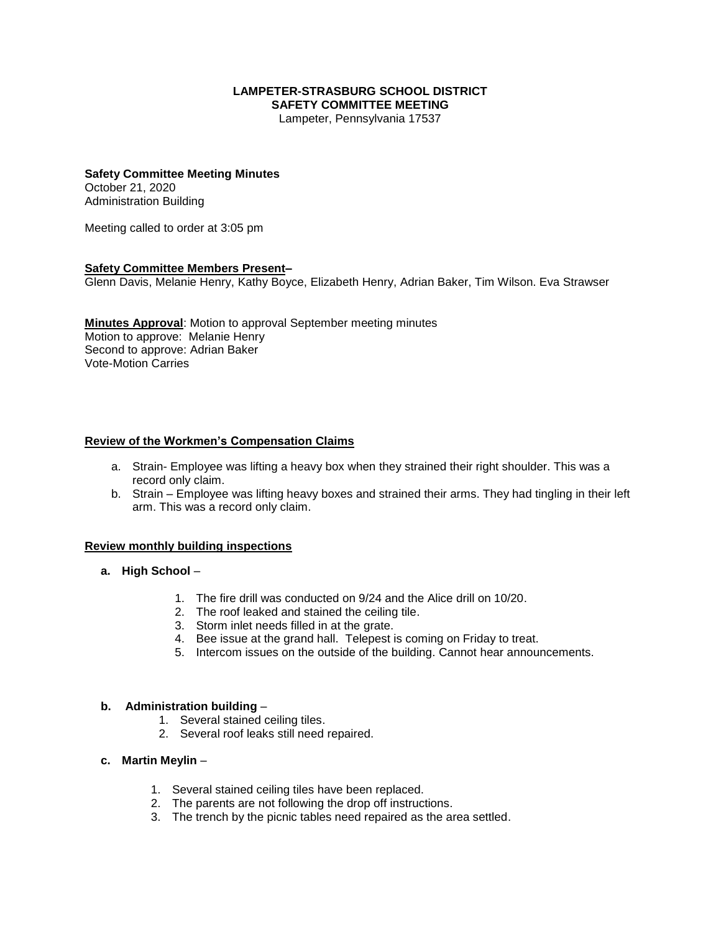# **LAMPETER-STRASBURG SCHOOL DISTRICT SAFETY COMMITTEE MEETING**

Lampeter, Pennsylvania 17537

# **Safety Committee Meeting Minutes**

October 21, 2020 Administration Building

Meeting called to order at 3:05 pm

# **Safety Committee Members Present–**

Glenn Davis, Melanie Henry, Kathy Boyce, Elizabeth Henry, Adrian Baker, Tim Wilson. Eva Strawser

**Minutes Approval**: Motion to approval September meeting minutes Motion to approve: Melanie Henry Second to approve: Adrian Baker Vote-Motion Carries

# **Review of the Workmen's Compensation Claims**

- a. Strain- Employee was lifting a heavy box when they strained their right shoulder. This was a record only claim.
- b. Strain Employee was lifting heavy boxes and strained their arms. They had tingling in their left arm. This was a record only claim.

#### **Review monthly building inspections**

- **a. High School**
	- 1. The fire drill was conducted on 9/24 and the Alice drill on 10/20.
	- 2. The roof leaked and stained the ceiling tile.
	- 3. Storm inlet needs filled in at the grate.
	- 4. Bee issue at the grand hall. Telepest is coming on Friday to treat.
	- 5. Intercom issues on the outside of the building. Cannot hear announcements.

#### **b. Administration building** –

- 1. Several stained ceiling tiles.
- 2. Several roof leaks still need repaired.

# **c. Martin Meylin** –

- 1. Several stained ceiling tiles have been replaced.
- 2. The parents are not following the drop off instructions.
- 3. The trench by the picnic tables need repaired as the area settled.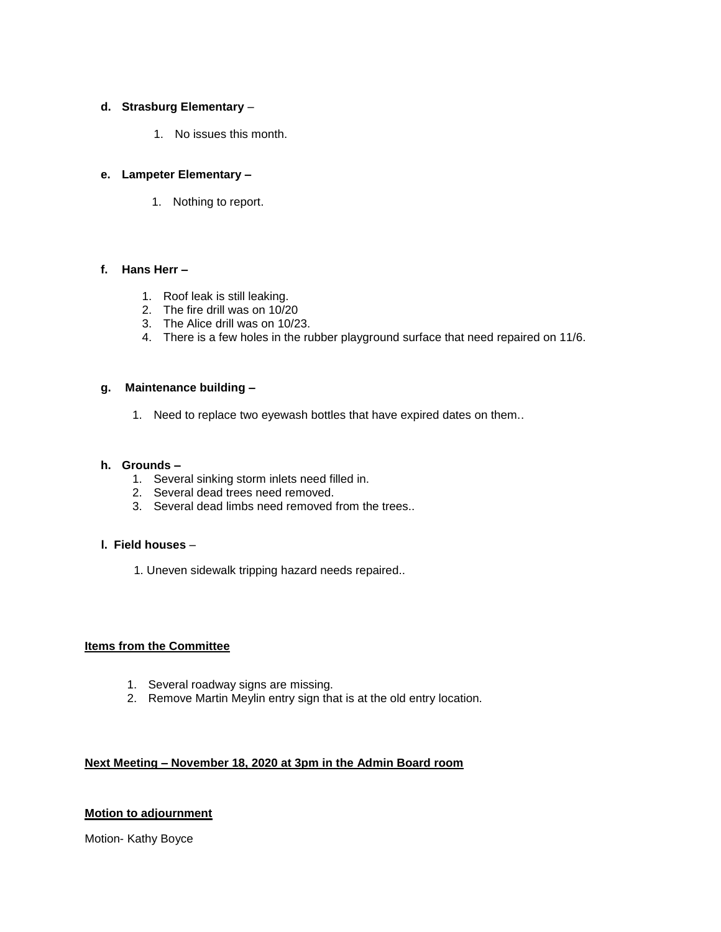# **d. Strasburg Elementary** –

1. No issues this month.

#### **e. Lampeter Elementary –**

1. Nothing to report.

## **f. Hans Herr –**

- 1. Roof leak is still leaking.
- 2. The fire drill was on 10/20
- 3. The Alice drill was on 10/23.
- 4. There is a few holes in the rubber playground surface that need repaired on 11/6.

# **g. Maintenance building –**

1. Need to replace two eyewash bottles that have expired dates on them..

## **h. Grounds –**

- 1. Several sinking storm inlets need filled in.
- 2. Several dead trees need removed.
- 3. Several dead limbs need removed from the trees..

#### **l. Field houses** –

1. Uneven sidewalk tripping hazard needs repaired..

#### **Items from the Committee**

- 1. Several roadway signs are missing.
- 2. Remove Martin Meylin entry sign that is at the old entry location.

#### **Next Meeting – November 18, 2020 at 3pm in the Admin Board room**

#### **Motion to adjournment**

Motion- Kathy Boyce